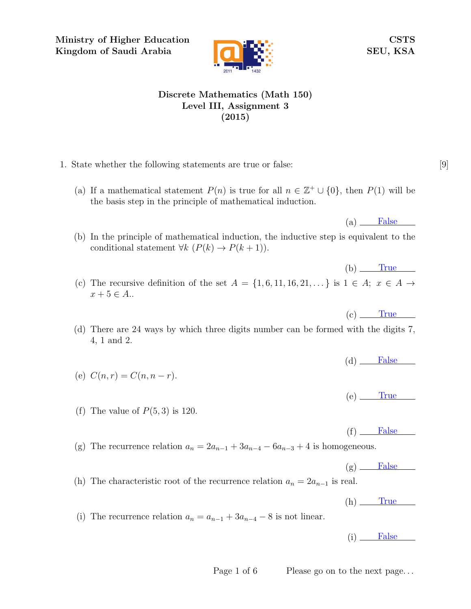Ministry of Higher Education Kingdom of Saudi Arabia



CSTS SEU, KSA

## Discrete Mathematics (Math 150) Level III, Assignment 3 (2015)

- 1. State whether the following statements are true or false: [9]
	- (a) If a mathematical statement  $P(n)$  is true for all  $n \in \mathbb{Z}^+ \cup \{0\}$ , then  $P(1)$  will be the basis step in the principle of mathematical induction.

 $(a)$  False

 $(b)$  True

 $(c)$  True

- (b) In the principle of mathematical induction, the inductive step is equivalent to the conditional statement  $\forall k \ (P(k) \rightarrow P(k+1)).$
- (c) The recursive definition of the set  $A = \{1, 6, 11, 16, 21, \dots\}$  is  $1 \in A$ ;  $x \in A \rightarrow$  $x + 5 \in A$ ..
- (d) There are 24 ways by which three digits number can be formed with the digits 7, 4, 1 and 2.
	- $(d)$  False

 $(e)$  True

(f) The value of  $P(5,3)$  is 120.

(e)  $C(n,r) = C(n, n-r)$ .

 $(f)$  False

(g) The recurrence relation  $a_n = 2a_{n-1} + 3a_{n-4} - 6a_{n-3} + 4$  is homogeneous.

 $(g)$  False

(h) The characteristic root of the recurrence relation  $a_n = 2a_{n-1}$  is real.

 $(h)$  True

(i) The recurrence relation  $a_n = a_{n-1} + 3a_{n-4} - 8$  is not linear.

 $(i)$  False

Page 1 of 6 Please go on to the next page...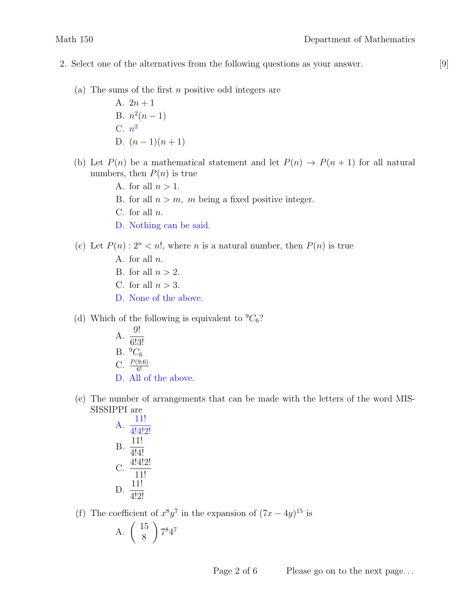- 2. Select one of the alternatives from the following questions as your answer. [9]
	- (a) The sums of the first  $n$  positive odd integers are
		- A.  $2n + 1$ B.  $n^2(n-1)$ C.  $n^2$ D.  $(n-1)(n+1)$
	- (b) Let  $P(n)$  be a mathematical statement and let  $P(n) \rightarrow P(n+1)$  for all natural numbers, then  $P(n)$  is true
		- A. for all  $n > 1$ .
		- B. for all  $n > m$ , m being a fixed positive integer.
		- C. for all  $n$ .
		- D. Nothing can be said.
	- (c) Let  $P(n)$ :  $2^n < n!$ , where n is a natural number, then  $P(n)$  is true
		- A. for all  $n$ .
		- B. for all  $n > 2$ .
		- C. for all  $n > 3$ .
		- D. None of the above.
	- (d) Which of the following is equivalent to  ${}^{9}C_{6}$ ?
		- $A. \frac{9!}{6!2!}$ 6!3! B.  $^{9}C_{6}$ C.  $\frac{P(9,6)}{6!}$ D. All of the above.
	- (e) The number of arrangements that can be made with the letters of the word MIS-SISSIPPI are

A. 
$$
\frac{11!}{4!4!2!}
$$
  
B.  $\frac{11!}{4!4!}$   
C.  $\frac{4!4!2!}{11!}$   
D.  $\frac{11!}{4!2!}$ 

(f) The coefficient of  $x^8y^7$  in the expansion of  $(7x-4y)^{15}$  is

A. 
$$
\left(\begin{array}{c} 15\\8 \end{array}\right) 7^8 4^7
$$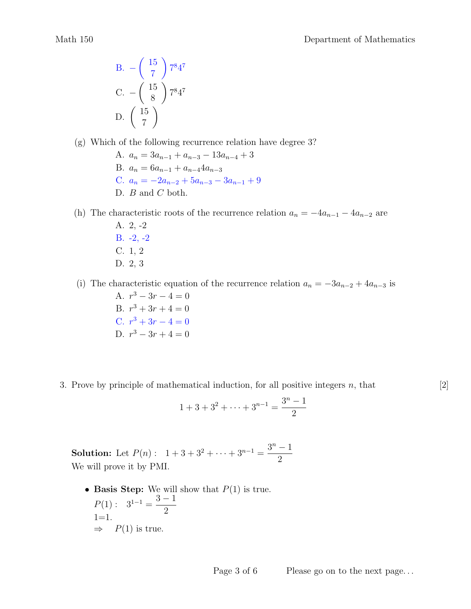B. 
$$
-\begin{pmatrix} 15 \\ 7 \end{pmatrix} 7^8 4^7
$$
  
C.  $-\begin{pmatrix} 15 \\ 8 \end{pmatrix} 7^8 4^7$   
D.  $\begin{pmatrix} 15 \\ 7 \end{pmatrix}$ 

(g) Which of the following recurrence relation have degree 3?

A.  $a_n = 3a_{n-1} + a_{n-3} - 13a_{n-4} + 3$ B.  $a_n = 6a_{n-1} + a_{n-4}4a_{n-3}$ C.  $a_n = -2a_{n-2} + 5a_{n-3} - 3a_{n-1} + 9$ D.  $B$  and  $C$  both.

(h) The characteristic roots of the recurrence relation  $a_n = -4a_{n-1} - 4a_{n-2}$  are A. 2, -2

B. -2, -2 C. 1, 2 D. 2, 3

(i) The characteristic equation of the recurrence relation  $a_n = -3a_{n-2} + 4a_{n-3}$  is

A.  $r^3 - 3r - 4 = 0$ B.  $r^3 + 3r + 4 = 0$ C.  $r^3 + 3r - 4 = 0$ D.  $r^3 - 3r + 4 = 0$ 

3. Prove by principle of mathematical induction, for all positive integers  $n$ , that  $[2]$ 

$$
1 + 3 + 3^2 + \dots + 3^{n-1} = \frac{3^n - 1}{2}
$$

**Solution:** Let  $P(n):$   $1+3+3^2+\cdots+3^{n-1}=\frac{3^n-1}{2^n}$ 2 We will prove it by PMI.

• Basis Step: We will show that  $P(1)$  is true.  $P(1): \quad 3^{1-1} = \frac{3-1}{2}$ 2  $1=1.$  $\Rightarrow$   $P(1)$  is true.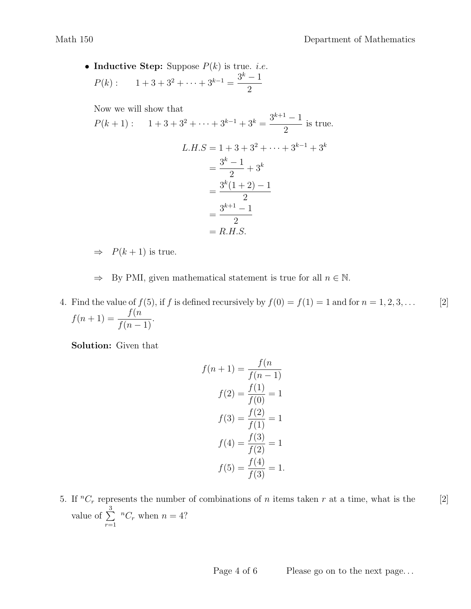• Inductive Step: Suppose  $P(k)$  is true. *i.e.*  $P(k): \quad 1+3+3^2+\cdots+3^{k-1}=\frac{3^k-1}{2^k}$ 2

Now we will show that

$$
P(k+1): \quad 1+3+3^2+\cdots+3^{k-1}+3^k = \frac{3^{k+1}-1}{2} \text{ is true.}
$$
\n
$$
L.H.S = 1+3+3^2+\cdots+3^{k-1}+3^k
$$
\n
$$
= \frac{3^k-1}{2}+3^k
$$
\n
$$
= \frac{3^k(1+2)-1}{2}
$$
\n
$$
= \frac{3^{k+1}-1}{2}
$$
\n
$$
= R.H.S.
$$

 $\Rightarrow$   $P(k+1)$  is true.

 $\Rightarrow$  By PMI, given mathematical statement is true for all  $n \in \mathbb{N}$ .

4. Find the value of  $f(5)$ , if f is defined recursively by  $f(0) = f(1) = 1$  and for  $n = 1, 2, 3, \ldots$  [2]  $f(n+1) = \frac{f(n+1)}{f(n+1)}$  $\frac{f(n-1)}{f(n-1)}$ .

Solution: Given that

$$
f(n + 1) = \frac{f(n)}{f(n - 1)}
$$

$$
f(2) = \frac{f(1)}{f(0)} = 1
$$

$$
f(3) = \frac{f(2)}{f(1)} = 1
$$

$$
f(4) = \frac{f(3)}{f(2)} = 1
$$

$$
f(5) = \frac{f(4)}{f(3)} = 1.
$$

5. If  ${}^nC_r$  represents the number of combinations of n items taken r at a time, what is the [2] value of  $\sum^3$  $r=1$  ${}^nC_r$  when  $n = 4$ ?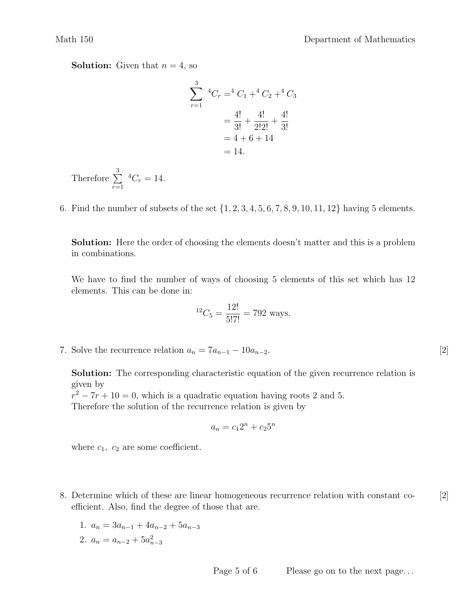**Solution:** Given that  $n = 4$ , so

$$
\sum_{r=1}^{3} {}^{4}C_{r} = {}^{4}C_{1} + {}^{4}C_{2} + {}^{4}C_{3}
$$

$$
= \frac{4!}{3!} + \frac{4!}{2!2!} + \frac{4!}{3!}
$$

$$
= 4 + 6 + 14
$$

$$
= 14.
$$

- Therefore  $\sum_{ }^{3}$  $r=1$  ${}^4C_r = 14.$
- 6. Find the number of subsets of the set  $\{1, 2, 3, 4, 5, 6, 7, 8, 9, 10, 11, 12\}$  having 5 elements.

Solution: Here the order of choosing the elements doesn't matter and this is a problem in combinations.

We have to find the number of ways of choosing 5 elements of this set which has 12 elements. This can be done in:

$$
{}^{12}C_5 = \frac{12!}{5!7!} = 792
$$
 ways.

7. Solve the recurrence relation  $a_n = 7a_{n-1} - 10a_{n-2}$ . [2]

Solution: The corresponding characteristic equation of the given recurrence relation is given by

 $r^2 - 7r + 10 = 0$ , which is a quadratic equation having roots 2 and 5. Therefore the solution of the recurrence relation is given by

$$
a_n = c_1 2^n + c_2 5^n
$$

where  $c_1$ ,  $c_2$  are some coefficient.

- 8. Determine which of these are linear homogeneous recurrence relation with constant co- [2] efficient. Also, find the degree of those that are.
	- 1.  $a_n = 3a_{n-1} + 4a_{n-2} + 5a_{n-3}$
	- 2.  $a_n = a_{n-2} + 5a_{n-3}^2$